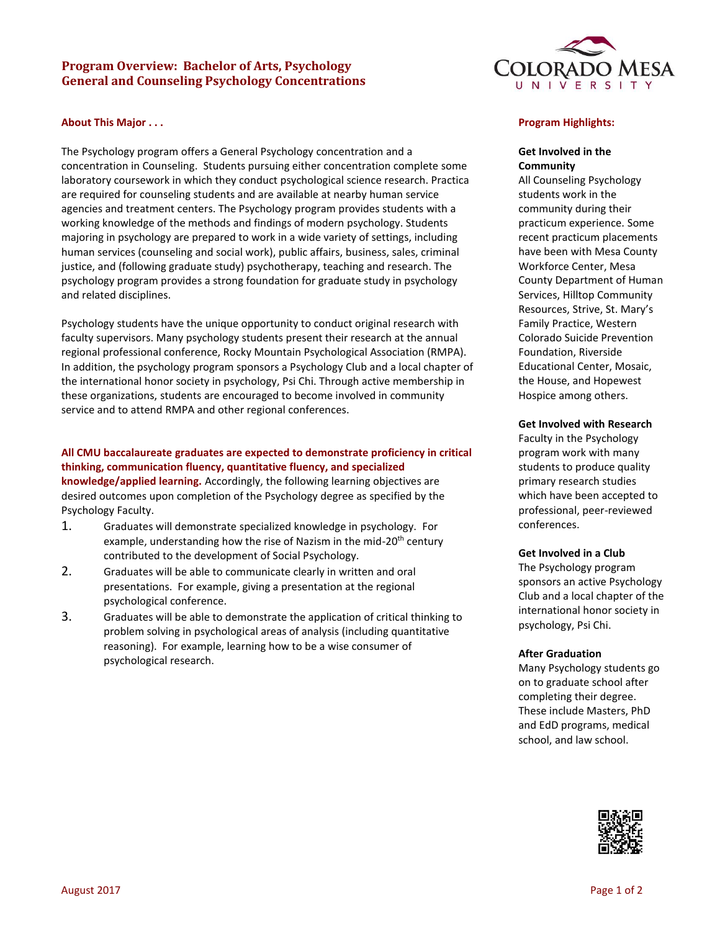## **Program Overview: Bachelor of Arts, Psychology General and Counseling Psychology Concentrations**

### **About This Major . . .**

The Psychology program offers a General Psychology concentration and a concentration in Counseling. Students pursuing either concentration complete some laboratory coursework in which they conduct psychological science research. Practica are required for counseling students and are available at nearby human service agencies and treatment centers. The Psychology program provides students with a working knowledge of the methods and findings of modern psychology. Students majoring in psychology are prepared to work in a wide variety of settings, including human services (counseling and social work), public affairs, business, sales, criminal justice, and (following graduate study) psychotherapy, teaching and research. The psychology program provides a strong foundation for graduate study in psychology and related disciplines.

Psychology students have the unique opportunity to conduct original research with faculty supervisors. Many psychology students present their research at the annual regional professional conference, Rocky Mountain Psychological Association (RMPA). In addition, the psychology program sponsors a Psychology Club and a local chapter of the international honor society in psychology, Psi Chi. Through active membership in these organizations, students are encouraged to become involved in community service and to attend RMPA and other regional conferences.

# **All CMU baccalaureate graduates are expected to demonstrate proficiency in critical thinking, communication fluency, quantitative fluency, and specialized**

**knowledge/applied learning.** Accordingly, the following learning objectives are desired outcomes upon completion of the Psychology degree as specified by the Psychology Faculty.

- 1. Graduates will demonstrate specialized knowledge in psychology. For example, understanding how the rise of Nazism in the mid-20<sup>th</sup> century contributed to the development of Social Psychology.
- 2. Graduates will be able to communicate clearly in written and oral presentations. For example, giving a presentation at the regional psychological conference.
- 3. Graduates will be able to demonstrate the application of critical thinking to problem solving in psychological areas of analysis (including quantitative reasoning). For example, learning how to be a wise consumer of psychological research.



### **Program Highlights:**

### **Get Involved in the Community**

All Counseling Psychology students work in the community during their practicum experience. Some recent practicum placements have been with Mesa County Workforce Center, Mesa County Department of Human Services, Hilltop Community Resources, Strive, St. Mary's Family Practice, Western Colorado Suicide Prevention Foundation, Riverside Educational Center, Mosaic, the House, and Hopewest Hospice among others.

#### **Get Involved with Research**

Faculty in the Psychology program work with many students to produce quality primary research studies which have been accepted to professional, peer-reviewed conferences.

#### **Get Involved in a Club**

The Psychology program sponsors an active Psychology Club and a local chapter of the international honor society in psychology, Psi Chi.

#### **After Graduation**

Many Psychology students go on to graduate school after completing their degree. These include Masters, PhD and EdD programs, medical school, and law school.